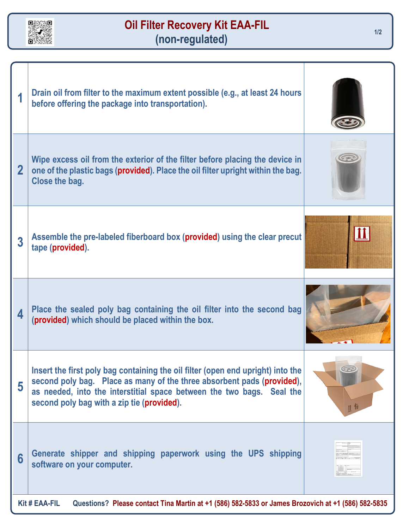

## **Oil Filter Recovery Kit EAA-FIL (non-regulated)**

|                                                                                                                            | Drain oil from filter to the maximum extent possible (e.g., at least 24 hours<br>before offering the package into transportation).                                                                                                                                               |    |
|----------------------------------------------------------------------------------------------------------------------------|----------------------------------------------------------------------------------------------------------------------------------------------------------------------------------------------------------------------------------------------------------------------------------|----|
| $\mathbf 2$                                                                                                                | Wipe excess oil from the exterior of the filter before placing the device in<br>one of the plastic bags (provided). Place the oil filter upright within the bag.<br>Close the bag.                                                                                               |    |
| 3                                                                                                                          | Assemble the pre-labeled fiberboard box (provided) using the clear precut<br>tape (provided).                                                                                                                                                                                    |    |
| 4                                                                                                                          | Place the sealed poly bag containing the oil filter into the second bag<br>(provided) which should be placed within the box.                                                                                                                                                     |    |
| 5                                                                                                                          | Insert the first poly bag containing the oil filter (open end upright) into the<br>second poly bag. Place as many of the three absorbent pads (provided),<br>as needed, into the interstitial space between the two bags. Seal the<br>second poly bag with a zip tie (provided). | 川市 |
| 6                                                                                                                          | Generate shipper and shipping paperwork using the UPS shipping<br>software on your computer.                                                                                                                                                                                     |    |
| <b>Kit # EAA-FIL</b><br>Questions? Please contact Tina Martin at +1 (586) 582-5833 or James Brozovich at +1 (586) 582-5835 |                                                                                                                                                                                                                                                                                  |    |